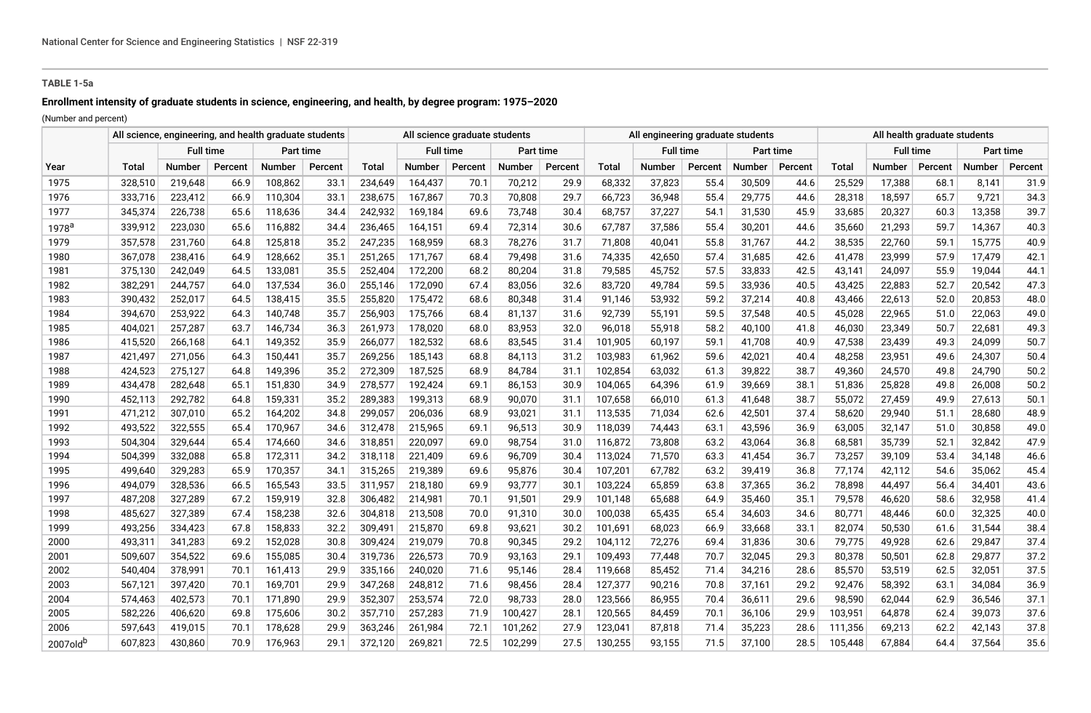## **TABLE 1-5a**

# **Enrollment intensity of graduate students in science, engineering, and health, by degree program: 1975–2020**

(Number and percent)

|                      | All science, engineering, and health graduate students |                  |         |                  |         |         | All science graduate students |         |           |         |         | All engineering graduate students |         |           |         |              | All health graduate students |         |               |         |  |  |
|----------------------|--------------------------------------------------------|------------------|---------|------------------|---------|---------|-------------------------------|---------|-----------|---------|---------|-----------------------------------|---------|-----------|---------|--------------|------------------------------|---------|---------------|---------|--|--|
|                      |                                                        | <b>Full time</b> |         | <b>Part time</b> |         |         | <b>Full time</b>              |         | Part time |         |         | <b>Full time</b>                  |         | Part time |         |              | <b>Full time</b>             |         | Part time     |         |  |  |
| Year                 | <b>Total</b>                                           | Number           | Percent | Number           | Percent | Total   | <b>Number</b>                 | Percent | Number    | Percent | Total   | Number                            | Percent | Number    | Percent | <b>Total</b> | <b>Number</b>                | Percent | <b>Number</b> | Percent |  |  |
| 1975                 | 328,510                                                | 219,648          | 66.9    | 108,862          | 33.1    | 234,649 | 164,437                       | 70.1    | 70,212    | 29.9    | 68,332  | 37,823                            | 55.4    | 30,509    | 44.6    | 25,529       | 17,388                       | 68.1    | 8,141         | 31.9    |  |  |
| 1976                 | 333,716                                                | 223,412          | 66.9    | 110,304          | 33.1    | 238,675 | 167,867                       | 70.3    | 70,808    | 29.7    | 66,723  | 36,948                            | 55.4    | 29,775    | 44.6    | 28,318       | 18,597                       | 65.7    | 9,721         | 34.3    |  |  |
| 1977                 | 345,374                                                | 226,738          | 65.6    | 118,636          | 34.4    | 242,932 | 169,184                       | 69.6    | 73,748    | 30.4    | 68,757  | 37,227                            | 54.1    | 31,530    | 45.9    | 33,685       | 20,327                       | 60.3    | 13,358        | 39.7    |  |  |
| 1978 <sup>a</sup>    | 339,912                                                | 223,030          | 65.6    | 116,882          | 34.4    | 236,465 | 164,151                       | 69.4    | 72,314    | 30.6    | 67,787  | 37,586                            | 55.4    | 30,201    | 44.6    | 35,660       | 21,293                       | 59.7    | 14,367        | 40.3    |  |  |
| 1979                 | 357,578                                                | 231,760          | 64.8    | 125,818          | 35.2    | 247,235 | 168,959                       | 68.3    | 78,276    | 31.7    | 71,808  | 40,041                            | 55.8    | 31,767    | 44.2    | 38,535       | 22,760                       | 59.1    | 15,775        | 40.9    |  |  |
| 1980                 | 367,078                                                | 238,416          | 64.9    | 128,662          | 35.1    | 251,265 | 171,767                       | 68.4    | 79,498    | 31.6    | 74,335  | 42,650                            | 57.4    | 31,685    | 42.6    | 41,478       | 23,999                       | 57.9    | 17,479        | 42.1    |  |  |
| 1981                 | 375,130                                                | 242,049          | 64.5    | 133,081          | 35.5    | 252,404 | 172,200                       | 68.2    | 80,204    | 31.8    | 79,585  | 45,752                            | 57.5    | 33,833    | 42.5    | 43,141       | 24,097                       | 55.9    | 19,044        | 44.1    |  |  |
| 1982                 | 382,291                                                | 244,757          | 64.0    | 137,534          | 36.0    | 255,146 | 172,090                       | 67.4    | 83,056    | 32.6    | 83,720  | 49,784                            | 59.5    | 33,936    | 40.5    | 43,425       | 22,883                       | 52.7    | 20,542        | 47.3    |  |  |
| 1983                 | 390,432                                                | 252,017          | 64.5    | 138,415          | 35.5    | 255,820 | 175,472                       | 68.6    | 80,348    | 31.4    | 91,146  | 53,932                            | 59.2    | 37,214    | 40.8    | 43,466       | 22,613                       | 52.0    | 20,853        | 48.0    |  |  |
| 1984                 | 394,670                                                | 253,922          | 64.3    | 140,748          | 35.7    | 256,903 | 175,766                       | 68.4    | 81,137    | 31.6    | 92,739  | 55,191                            | 59.5    | 37,548    | 40.5    | 45,028       | 22,965                       | 51.0    | 22,063        | 49.0    |  |  |
| 1985                 | 404,021                                                | 257,287          | 63.7    | 146,734          | 36.3    | 261,973 | 178,020                       | 68.0    | 83,953    | 32.0    | 96,018  | 55,918                            | 58.2    | 40,100    | 41.8    | 46,030       | 23,349                       | 50.7    | 22,681        | 49.3    |  |  |
| 1986                 | 415,520                                                | 266,168          | 64.1    | 149,352          | 35.9    | 266,077 | 182,532                       | 68.6    | 83,545    | 31.4    | 101,905 | 60,197                            | 59.1    | 41,708    | 40.9    | 47,538       | 23,439                       | 49.3    | 24,099        | 50.7    |  |  |
| 1987                 | 421,497                                                | 271,056          | 64.3    | 150,441          | 35.7    | 269,256 | 185,143                       | 68.8    | 84,113    | 31.2    | 103,983 | 61,962                            | 59.6    | 42,021    | 40.4    | 48,258       | 23,951                       | 49.6    | 24,307        | 50.4    |  |  |
| 1988                 | 424,523                                                | 275,127          | 64.8    | 149,396          | 35.2    | 272,309 | 187,525                       | 68.9    | 84,784    | 31.1    | 102,854 | 63,032                            | 61.3    | 39,822    | 38.7    | 49,360       | 24,570                       | 49.8    | 24,790        | 50.2    |  |  |
| 1989                 | 434,478                                                | 282,648          | 65.1    | 151,830          | 34.9    | 278,577 | 192,424                       | 69.1    | 86,153    | 30.9    | 104,065 | 64,396                            | 61.9    | 39,669    | 38.1    | 51,836       | 25,828                       | 49.8    | 26,008        | 50.2    |  |  |
| 1990                 | 452,113                                                | 292,782          | 64.8    | 159,331          | 35.2    | 289,383 | 199,313                       | 68.9    | 90,070    | 31.1    | 107,658 | 66,010                            | 61.3    | 41,648    | 38.7    | 55,072       | 27,459                       | 49.9    | 27,613        | 50.1    |  |  |
| 1991                 | 471,212                                                | 307,010          | 65.2    | 164,202          | 34.8    | 299,057 | 206,036                       | 68.9    | 93,021    | 31.1    | 113,535 | 71,034                            | 62.6    | 42,501    | 37.4    | 58,620       | 29,940                       | 51.1    | 28,680        | 48.9    |  |  |
| 1992                 | 493,522                                                | 322,555          | 65.4    | 170,967          | 34.6    | 312,478 | 215,965                       | 69.1    | 96,513    | 30.9    | 118,039 | 74,443                            | 63.1    | 43,596    | 36.9    | 63,005       | 32,147                       | 51.0    | 30,858        | 49.0    |  |  |
| 1993                 | 504,304                                                | 329,644          | 65.4    | 174,660          | 34.6    | 318,851 | 220,097                       | 69.0    | 98,754    | 31.0    | 116,872 | 73,808                            | 63.2    | 43,064    | 36.8    | 68,581       | 35,739                       | 52.1    | 32,842        | 47.9    |  |  |
| 1994                 | 504,399                                                | 332,088          | 65.8    | 172,311          | 34.2    | 318,118 | 221,409                       | 69.6    | 96,709    | 30.4    | 113,024 | 71,570                            | 63.3    | 41,454    | 36.7    | 73,257       | 39,109                       | 53.4    | 34,148        | 46.6    |  |  |
| 1995                 | 499,640                                                | 329,283          | 65.9    | 170,357          | 34.1    | 315,265 | 219,389                       | 69.6    | 95,876    | 30.4    | 107,201 | 67,782                            | 63.2    | 39,419    | 36.8    | 77,174       | 42,112                       | 54.6    | 35,062        | 45.4    |  |  |
| 1996                 | 494,079                                                | 328,536          | 66.5    | 165,543          | 33.5    | 311,957 | 218,180                       | 69.9    | 93,777    | 30.1    | 103,224 | 65,859                            | 63.8    | 37,365    | 36.2    | 78,898       | 44,497                       | 56.4    | 34,401        | 43.6    |  |  |
| 1997                 | 487,208                                                | 327,289          | 67.2    | 159,919          | 32.8    | 306,482 | 214,981                       | 70.1    | 91,501    | 29.9    | 101,148 | 65,688                            | 64.9    | 35,460    | 35.1    | 79,578       | 46,620                       | 58.6    | 32,958        | 41.4    |  |  |
| 1998                 | 485,627                                                | 327,389          | 67.4    | 158,238          | 32.6    | 304,818 | 213,508                       | 70.0    | 91,310    | 30.0    | 100,038 | 65,435                            | 65.4    | 34,603    | 34.6    | 80,771       | 48,446                       | 60.0    | 32,325        | 40.0    |  |  |
| 1999                 | 493,256                                                | 334,423          | 67.8    | 158,833          | 32.2    | 309,491 | 215,870                       | 69.8    | 93,621    | 30.2    | 101,691 | 68,023                            | 66.9    | 33,668    | 33.1    | 82,074       | 50,530                       | 61.6    | 31,544        | 38.4    |  |  |
| 2000                 | 493,311                                                | 341,283          | 69.2    | 152,028          | 30.8    | 309,424 | 219,079                       | 70.8    | 90,345    | 29.2    | 104,112 | 72,276                            | 69.4    | 31,836    | 30.6    | 79,775       | 49,928                       | 62.6    | 29,847        | 37.4    |  |  |
| 2001                 | 509,607                                                | 354,522          | 69.6    | 155,085          | 30.4    | 319,736 | 226,573                       | 70.9    | 93,163    | 29.1    | 109,493 | 77,448                            | 70.7    | 32,045    | 29.3    | 80,378       | 50,501                       | 62.8    | 29,877        | 37.2    |  |  |
| 2002                 | 540,404                                                | 378,991          | 70.1    | 161,413          | 29.9    | 335,166 | 240,020                       | 71.6    | 95,146    | 28.4    | 119,668 | 85,452                            | 71.4    | 34,216    | 28.6    | 85,570       | 53,519                       | 62.5    | 32,051        | 37.5    |  |  |
| 2003                 | 567,121                                                | 397,420          | 70.1    | 169,701          | 29.9    | 347,268 | 248,812                       | 71.6    | 98,456    | 28.4    | 127,377 | 90,216                            | 70.8    | 37,161    | 29.2    | 92,476       | 58,392                       | 63.1    | 34,084        | 36.9    |  |  |
| 2004                 | 574,463                                                | 402,573          | 70.1    | 171,890          | 29.9    | 352,307 | 253,574                       | 72.0    | 98,733    | 28.0    | 123,566 | 86,955                            | 70.4    | 36,611    | 29.6    | 98,590       | 62,044                       | 62.9    | 36,546        | 37.1    |  |  |
| 2005                 | 582,226                                                | 406,620          | 69.8    | 175,606          | 30.2    | 357,710 | 257,283                       | 71.9    | 100,427   | 28.1    | 120,565 | 84,459                            | 70.1    | 36,106    | 29.9    | 103,951      | 64,878                       | 62.4    | 39,073        | 37.6    |  |  |
| 2006                 | 597,643                                                | 419,015          | 70.1    | 178,628          | 29.9    | 363,246 | 261,984                       | 72.1    | 101,262   | 27.9    | 123,041 | 87,818                            | 71.4    | 35,223    | 28.6    | 111,356      | 69,213                       | 62.2    | 42,143        | 37.8    |  |  |
| 2007old <sup>b</sup> | 607,823                                                | 430,860          | 70.9    | 176,963          | 29.1    | 372,120 | 269,821                       | 72.5    | 102,299   | 27.5    | 130,255 | 93,155                            | 71.5    | 37,100    | 28.5    | 105,448      | 67,884                       | 64.4    | 37,564        | 35.6    |  |  |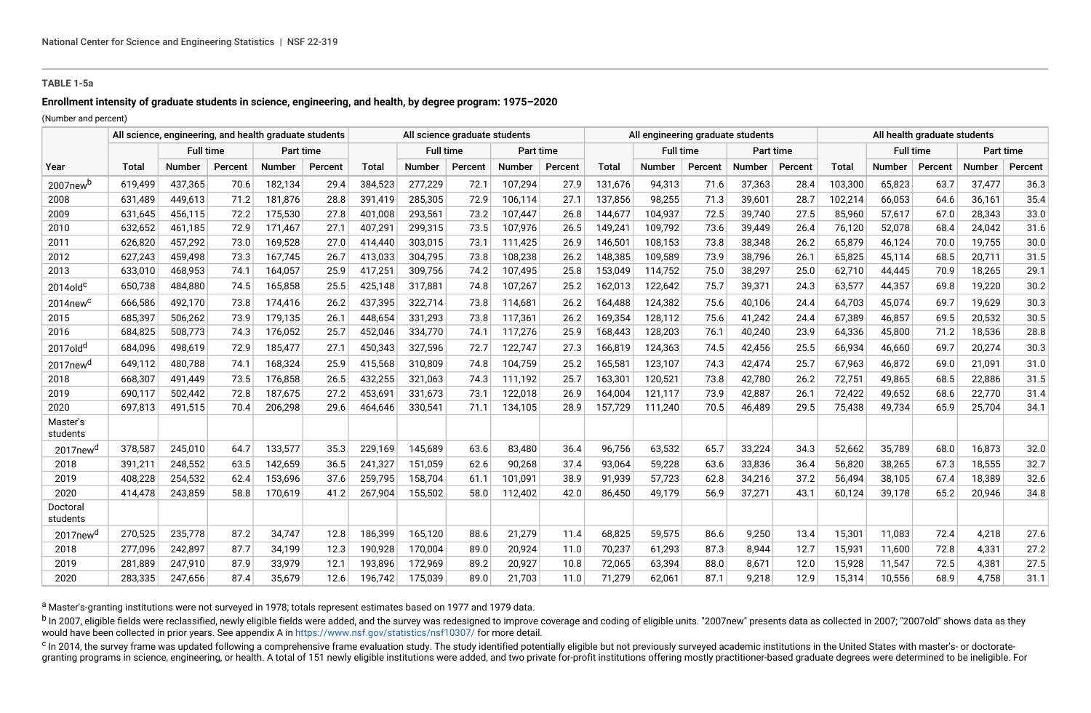### **TABLE 1-5a**

# **Enrollment intensity of graduate students in science, engineering, and health, by degree program: 1975–2020**

(Number and percent)

|                         | All science, engineering, and health graduate students |                  |         |                  |         |         | All science graduate students |         |           |         |         | All engineering graduate students |         |        |           |              | All health graduate students |         |               |         |  |  |
|-------------------------|--------------------------------------------------------|------------------|---------|------------------|---------|---------|-------------------------------|---------|-----------|---------|---------|-----------------------------------|---------|--------|-----------|--------------|------------------------------|---------|---------------|---------|--|--|
|                         |                                                        | <b>Full time</b> |         | <b>Part time</b> |         |         | <b>Full time</b>              |         | Part time |         |         | <b>Full time</b>                  |         |        | Part time |              | <b>Full time</b>             |         | Part time     |         |  |  |
| Year                    | Total                                                  | Number           | Percent | Number           | Percent | Total   | <b>Number</b>                 | Percent | Number    | Percent | Total   | <b>Number</b>                     | Percent | Number | Percent   | <b>Total</b> | Number                       | Percent | <b>Number</b> | Percent |  |  |
| 2007new <sup>b</sup>    | 619,499                                                | 437,365          | 70.6    | 182,134          | 29.4    | 384,523 | 277,229                       | 72.1    | 107,294   | 27.9    | 131,676 | 94,313                            | 71.6    | 37,363 | 28.4      | 103,300      | 65,823                       | 63.7    | 37,477        | 36.3    |  |  |
| 2008                    | 631,489                                                | 449,613          | 71.2    | 181,876          | 28.8    | 391,419 | 285,305                       | 72.9    | 106,114   | 27.1    | 137,856 | 98,255                            | 71.3    | 39,601 | 28.7      | 102,214      | 66,053                       | 64.6    | 36,161        | 35.4    |  |  |
| 2009                    | 631,645                                                | 456,115          | 72.2    | 175,530          | 27.8    | 401,008 | 293,561                       | 73.2    | 107,447   | 26.8    | 144,677 | 104,937                           | 72.5    | 39,740 | 27.5      | 85,960       | 57,617                       | 67.0    | 28,343        | 33.0    |  |  |
| 2010                    | 632,652                                                | 461,185          | 72.9    | 171,467          | 27.1    | 407,291 | 299,315                       | 73.5    | 107,976   | 26.5    | 149,241 | 109,792                           | 73.6    | 39,449 | 26.4      | 76,120       | 52,078                       | 68.4    | 24,042        | 31.6    |  |  |
| 2011                    | 626,820                                                | 457,292          | 73.0    | 169,528          | 27.0    | 414,440 | 303,015                       | 73.1    | 111,425   | 26.9    | 146,501 | 108,153                           | 73.8    | 38,348 | 26.2      | 65,879       | 46,124                       | 70.0    | 19,755        | 30.0    |  |  |
| 2012                    | 627,243                                                | 459,498          | 73.3    | 167.745          | 26.7    | 413,033 | 304,795                       | 73.8    | 108,238   | 26.2    | 148,385 | 109.589                           | 73.9    | 38,796 | 26.1      | 65,825       | 45,114                       | 68.5    | 20,711        | 31.5    |  |  |
| 2013                    | 633,010                                                | 468,953          | 74.1    | 164,057          | 25.9    | 417,251 | 309,756                       | 74.2    | 107,495   | 25.8    | 153,049 | 114,752                           | 75.0    | 38,297 | 25.0      | 62,710       | 44,445                       | 70.9    | 18,265        | 29.1    |  |  |
| $2014$ old $c$          | 650,738                                                | 484,880          | 74.5    | 165,858          | 25.5    | 425,148 | 317,881                       | 74.8    | 107,267   | 25.2    | 162,013 | 122,642                           | 75.7    | 39,371 | 24.3      | 63,577       | 44,357                       | 69.8    | 19,220        | 30.2    |  |  |
| $2014$ new <sup>c</sup> | 666,586                                                | 492,170          | 73.8    | 174,416          | 26.2    | 437,395 | 322,714                       | 73.8    | 114,681   | 26.2    | 164,488 | 124,382                           | 75.6    | 40,106 | 24.4      | 64,703       | 45,074                       | 69.7    | 19,629        | 30.3    |  |  |
| 2015                    | 685,397                                                | 506,262          | 73.9    | 179,135          | 26.1    | 448,654 | 331,293                       | 73.8    | 117,361   | 26.2    | 169,354 | 128,112                           | 75.6    | 41,242 | 24.4      | 67,389       | 46,857                       | 69.5    | 20,532        | 30.5    |  |  |
| 2016                    | 684,825                                                | 508,773          | 74.3    | 176,052          | 25.7    | 452,046 | 334,770                       | 74.1    | 117,276   | 25.9    | 168,443 | 128,203                           | 76.1    | 40,240 | 23.9      | 64,336       | 45,800                       | 71.2    | 18,536        | 28.8    |  |  |
| 2017old <sup>d</sup>    | 684,096                                                | 498,619          | 72.9    | 185,477          | 27.1    | 450,343 | 327,596                       | 72.7    | 122,747   | 27.3    | 166,819 | 124,363                           | 74.5    | 42,456 | 25.5      | 66,934       | 46,660                       | 69.7    | 20,274        | 30.3    |  |  |
| 2017new <sup>d</sup>    | 649,112                                                | 480,788          | 74.1    | 168,324          | 25.9    | 415,568 | 310,809                       | 74.8    | 104,759   | 25.2    | 165,581 | 123,107                           | 74.3    | 42,474 | 25.7      | 67,963       | 46,872                       | 69.0    | 21,091        | 31.0    |  |  |
| 2018                    | 668,307                                                | 491,449          | 73.5    | 176,858          | 26.5    | 432,255 | 321,063                       | 74.3    | 111.192   | 25.7    | 163,301 | 120,521                           | 73.8    | 42,780 | 26.2      | 72,751       | 49,865                       | 68.5    | 22,886        | 31.5    |  |  |
| 2019                    | 690.117                                                | 502,442          | 72.8    | 187,675          | 27.2    | 453,691 | 331,673                       | 73.1    | 122,018   | 26.9    | 164,004 | 121.117                           | 73.9    | 42,887 | 26.1      | 72.422       | 49,652                       | 68.6    | 22,770        | 31.4    |  |  |
| 2020                    | 697,813                                                | 491,515          | 70.4    | 206,298          | 29.6    | 464,646 | 330,541                       | 71.1    | 134,105   | 28.9    | 157,729 | 111,240                           | 70.5    | 46,489 | 29.5      | 75,438       | 49,734                       | 65.9    | 25,704        | 34.1    |  |  |
| Master's<br>students    |                                                        |                  |         |                  |         |         |                               |         |           |         |         |                                   |         |        |           |              |                              |         |               |         |  |  |
| 2017new <sup>d</sup>    | 378,587                                                | 245,010          | 64.7    | 133,577          | 35.3    | 229,169 | 145,689                       | 63.6    | 83,480    | 36.4    | 96,756  | 63,532                            | 65.7    | 33,224 | 34.3      | 52,662       | 35,789                       | 68.0    | 16,873        | 32.0    |  |  |
| 2018                    | 391,211                                                | 248,552          | 63.5    | 142,659          | 36.5    | 241,327 | 151.059                       | 62.6    | 90.268    | 37.4    | 93.064  | 59,228                            | 63.6    | 33,836 | 36.4      | 56.820       | 38,265                       | 67.3    | 18,555        | 32.7    |  |  |
| 2019                    | 408,228                                                | 254,532          | 62.4    | 153,696          | 37.6    | 259,795 | 158,704                       | 61.1    | 101,091   | 38.9    | 91,939  | 57,723                            | 62.8    | 34,216 | 37.2      | 56,494       | 38,105                       | 67.4    | 18,389        | 32.6    |  |  |
| 2020                    | 414,478                                                | 243,859          | 58.8    | 170,619          | 41.2    | 267,904 | 155,502                       | 58.0    | 112,402   | 42.0    | 86,450  | 49,179                            | 56.9    | 37,271 | 43.1      | 60,124       | 39,178                       | 65.2    | 20,946        | 34.8    |  |  |
| Doctoral<br>students    |                                                        |                  |         |                  |         |         |                               |         |           |         |         |                                   |         |        |           |              |                              |         |               |         |  |  |
| 2017new <sup>d</sup>    | 270,525                                                | 235,778          | 87.2    | 34,747           | 12.8    | 186,399 | 165,120                       | 88.6    | 21,279    | 11.4    | 68,825  | 59,575                            | 86.6    | 9,250  | 13.4      | 15,301       | 11,083                       | 72.4    | 4,218         | 27.6    |  |  |
| 2018                    | 277,096                                                | 242,897          | 87.7    | 34,199           | 12.3    | 190,928 | 170,004                       | 89.0    | 20,924    | 11.0    | 70,237  | 61,293                            | 87.3    | 8,944  | 12.7      | 15,931       | 11,600                       | 72.8    | 4,331         | 27.2    |  |  |
| 2019                    | 281,889                                                | 247,910          | 87.9    | 33,979           | 12.1    | 193,896 | 172,969                       | 89.2    | 20,927    | 10.8    | 72,065  | 63,394                            | 88.0    | 8,671  | 12.0      | 15,928       | 11,547                       | 72.5    | 4,381         | 27.5    |  |  |
| 2020                    | 283,335                                                | 247,656          | 87.4    | 35,679           | 12.6    | 196.742 | 175,039                       | 89.0    | 21.703    | 11.0    | 71,279  | 62,061                            | 87.1    | 9,218  | 12.9      | 15,314       | 10,556                       | 68.9    | 4.758         | 31.1    |  |  |

a Master's-granting institutions were not surveyed in 1978; totals represent estimates based on 1977 and 1979 data.

<sup>b</sup> In 2007, eligible fields were reclassified, newly eligible fields were added, and the survey was redesigned to improve coverage and coding of eligible units. "2007new" presents data as collected in 2007; "2007old" show would have been collected in prior years. See appendix A in<https://www.nsf.gov/statistics/nsf10307/>for more detail.

<sup>c</sup> In 2014, the survey frame was updated following a comprehensive frame evaluation study. The study identified potentially eligible but not previously surveyed academic institutions in the United States with master's- or granting programs in science, engineering, or health. A total of 151 newly eligible institutions were added, and two private for-profit institutions offering mostly practitioner-based graduate degrees were determined to be